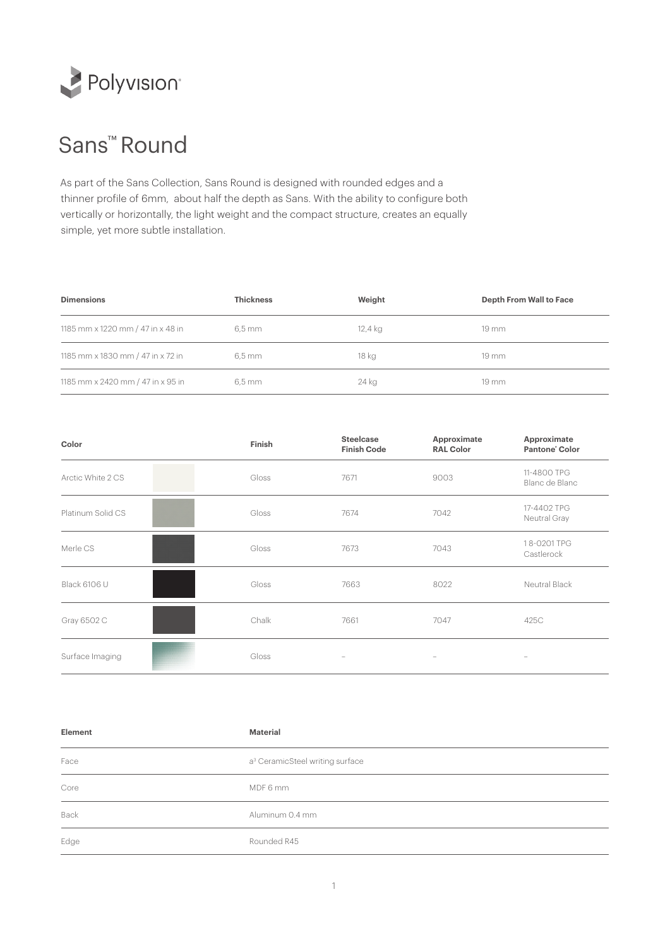

## Sans™ Round

As part of the Sans Collection, Sans Round is designed with rounded edges and a thinner profile of 6mm, about half the depth as Sans. With the ability to configure both vertically or horizontally, the light weight and the compact structure, creates an equally simple, yet more subtle installation.

| <b>Dimensions</b>                 | <b>Thickness</b> | Weight  | <b>Depth From Wall to Face</b> |
|-----------------------------------|------------------|---------|--------------------------------|
| 1185 mm x 1220 mm / 47 in x 48 in | 6.5 mm           | 12,4 kg | $19 \, \mathrm{mm}$            |
| 1185 mm x 1830 mm / 47 in x 72 in | 6.5 mm           | 18 kg   | $19 \, \mathrm{mm}$            |
| 1185 mm x 2420 mm / 47 in x 95 in | 6.5 mm           | 24 kg   | $19 \, \mathrm{mm}$            |

| Color             | Finish | <b>Steelcase</b><br><b>Finish Code</b> | Approximate<br><b>RAL Color</b> | Approximate<br>Pantone' Color |
|-------------------|--------|----------------------------------------|---------------------------------|-------------------------------|
| Arctic White 2 CS | Gloss  | 7671                                   | 9003                            | 11-4800 TPG<br>Blanc de Blanc |
| Platinum Solid CS | Gloss  | 7674                                   | 7042                            | 17-4402 TPG<br>Neutral Gray   |
| Merle CS          | Gloss  | 7673                                   | 7043                            | 18-0201 TPG<br>Castlerock     |
| Black 6106 U      | Gloss  | 7663                                   | 8022                            | Neutral Black                 |
| Gray 6502 C       | Chalk  | 7661                                   | 7047                            | 425C                          |
| Surface Imaging   | Gloss  | $\overline{\phantom{a}}$               | $\overline{\phantom{m}}$        |                               |

| Element | <b>Material</b>                             |
|---------|---------------------------------------------|
| Face    | a <sup>3</sup> CeramicSteel writing surface |
| Core    | MDF 6 mm                                    |
| Back    | Aluminum 0.4 mm                             |
| Edge    | Rounded R45                                 |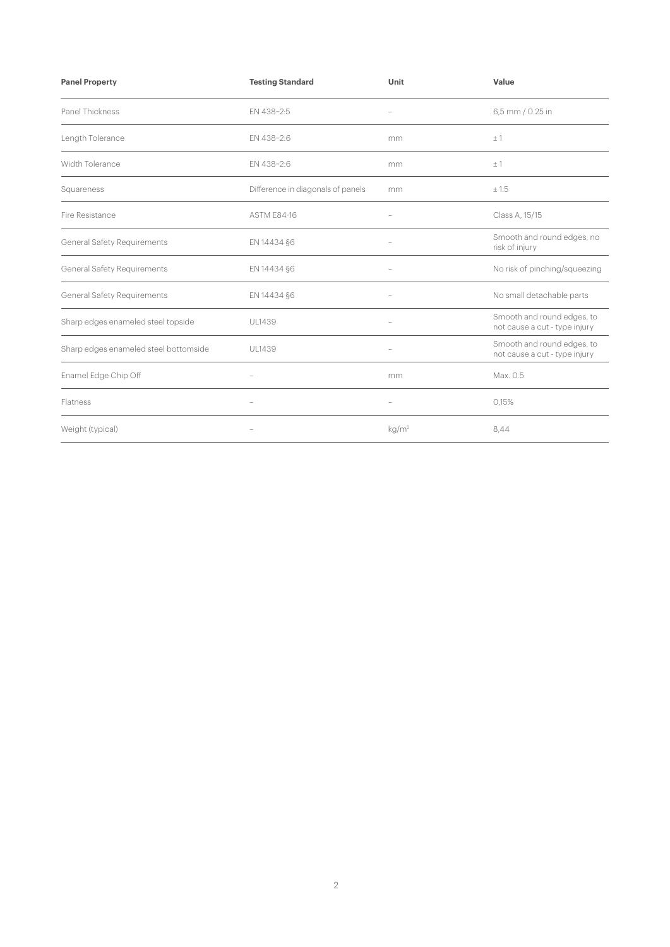| <b>Panel Property</b>                 | <b>Testing Standard</b>           | Unit                                                                      | Value                                                       |
|---------------------------------------|-----------------------------------|---------------------------------------------------------------------------|-------------------------------------------------------------|
| Panel Thickness                       | EN 438-2:5                        | $\hspace{1.0cm} \rule{1.5cm}{0.15cm} \hspace{1.0cm} \rule{1.5cm}{0.15cm}$ | 6,5 mm / 0.25 in                                            |
| Length Tolerance                      | EN 438-2:6                        | mm                                                                        | ±1                                                          |
| Width Tolerance                       | EN 438-2:6                        | mm                                                                        | ±1                                                          |
| Squareness                            | Difference in diagonals of panels | mm                                                                        | ± 1.5                                                       |
| Fire Resistance                       | <b>ASTM E84-16</b>                |                                                                           | Class A, 15/15                                              |
| <b>General Safety Requirements</b>    | EN 14434 §6                       |                                                                           | Smooth and round edges, no<br>risk of injury                |
| General Safety Requirements           | EN 14434 §6                       |                                                                           | No risk of pinching/squeezing                               |
| <b>General Safety Requirements</b>    | EN 14434 §6                       | $\overline{\phantom{a}}$                                                  | No small detachable parts                                   |
| Sharp edges enameled steel topside    | <b>UL1439</b>                     |                                                                           | Smooth and round edges, to<br>not cause a cut - type injury |
| Sharp edges enameled steel bottomside | UL1439                            | $\hspace{1.0cm} - \hspace{1.0cm}$                                         | Smooth and round edges, to<br>not cause a cut - type injury |
| Enamel Edge Chip Off                  |                                   | mm                                                                        | Max. 0.5                                                    |
| Flatness                              | $\overline{\phantom{0}}$          | $\overline{\phantom{a}}$                                                  | 0,15%                                                       |
| Weight (typical)                      |                                   | kg/m <sup>2</sup>                                                         | 8,44                                                        |